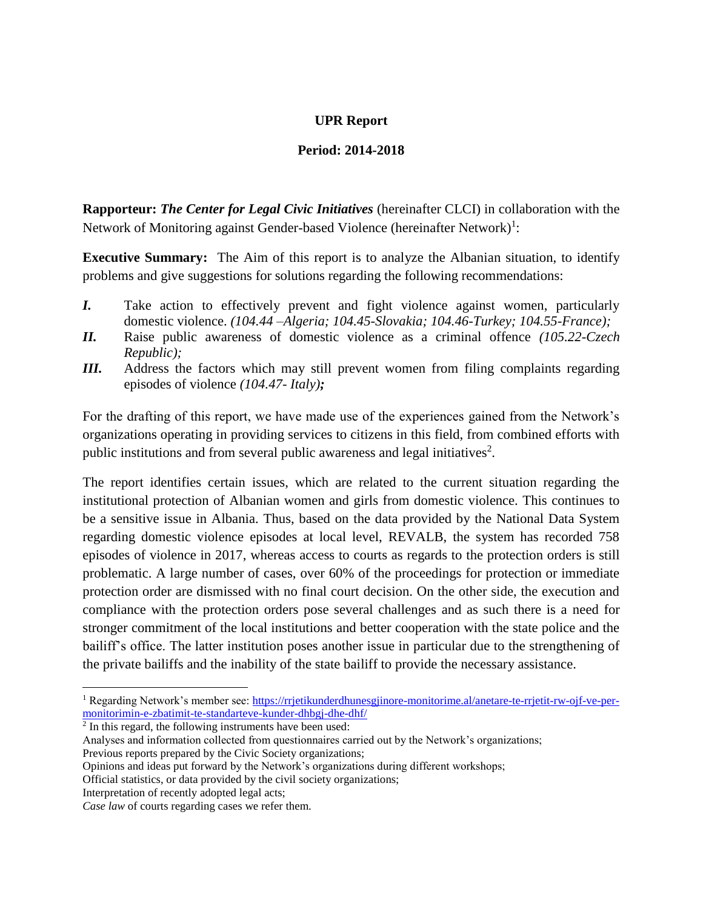# **UPR Report**

## **Period: 2014-2018**

**Rapporteur:** *The Center for Legal Civic Initiatives* (hereinafter CLCI) in collaboration with the Network of Monitoring against Gender-based Violence (hereinafter Network)<sup>1</sup>:

**Executive Summary:** The Aim of this report is to analyze the Albanian situation, to identify problems and give suggestions for solutions regarding the following recommendations:

- *I.* Take action to effectively prevent and fight violence against women, particularly domestic violence. *(104.44 –Algeria; 104.45-Slovakia; 104.46-Turkey; 104.55-France);*
- *II.* Raise public awareness of domestic violence as a criminal offence *(105.22-Czech Republic);*
- *III.* Address the factors which may still prevent women from filing complaints regarding episodes of violence *(104.47- Italy);*

For the drafting of this report, we have made use of the experiences gained from the Network's organizations operating in providing services to citizens in this field, from combined efforts with public institutions and from several public awareness and legal initiatives<sup>2</sup>.

The report identifies certain issues, which are related to the current situation regarding the institutional protection of Albanian women and girls from domestic violence. This continues to be a sensitive issue in Albania. Thus, based on the data provided by the National Data System regarding domestic violence episodes at local level, REVALB, the system has recorded 758 episodes of violence in 2017, whereas access to courts as regards to the protection orders is still problematic. A large number of cases, over 60% of the proceedings for protection or immediate protection order are dismissed with no final court decision. On the other side, the execution and compliance with the protection orders pose several challenges and as such there is a need for stronger commitment of the local institutions and better cooperation with the state police and the bailiff's office. The latter institution poses another issue in particular due to the strengthening of the private bailiffs and the inability of the state bailiff to provide the necessary assistance.

 $\overline{a}$ 

<sup>1</sup> Regarding Network's member see: [https://rrjetikunderdhunesgjinore-monitorime.al/anetare-te-rrjetit-rw-ojf-ve-per](https://rrjetikunderdhunesgjinore-monitorime.al/anetare-te-rrjetit-rw-ojf-ve-per-monitorimin-e-zbatimit-te-standarteve-kunder-dhbgj-dhe-dhf/)[monitorimin-e-zbatimit-te-standarteve-kunder-dhbgj-dhe-dhf/](https://rrjetikunderdhunesgjinore-monitorime.al/anetare-te-rrjetit-rw-ojf-ve-per-monitorimin-e-zbatimit-te-standarteve-kunder-dhbgj-dhe-dhf/)

<sup>&</sup>lt;sup>2</sup> In this regard, the following instruments have been used:

Analyses and information collected from questionnaires carried out by the Network's organizations; Previous reports prepared by the Civic Society organizations;

Opinions and ideas put forward by the Network's organizations during different workshops;

Official statistics, or data provided by the civil society organizations;

Interpretation of recently adopted legal acts;

*Case law* of courts regarding cases we refer them.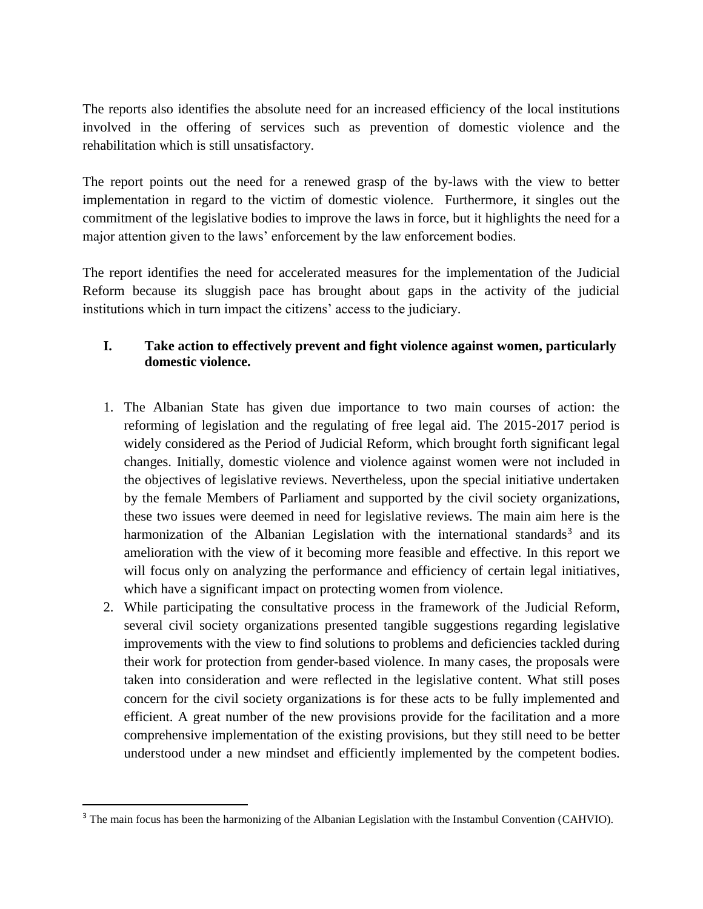The reports also identifies the absolute need for an increased efficiency of the local institutions involved in the offering of services such as prevention of domestic violence and the rehabilitation which is still unsatisfactory.

The report points out the need for a renewed grasp of the by-laws with the view to better implementation in regard to the victim of domestic violence. Furthermore, it singles out the commitment of the legislative bodies to improve the laws in force, but it highlights the need for a major attention given to the laws' enforcement by the law enforcement bodies.

The report identifies the need for accelerated measures for the implementation of the Judicial Reform because its sluggish pace has brought about gaps in the activity of the judicial institutions which in turn impact the citizens' access to the judiciary.

# **I. Take action to effectively prevent and fight violence against women, particularly domestic violence.**

- 1. The Albanian State has given due importance to two main courses of action: the reforming of legislation and the regulating of free legal aid. The 2015-2017 period is widely considered as the Period of Judicial Reform, which brought forth significant legal changes. Initially, domestic violence and violence against women were not included in the objectives of legislative reviews. Nevertheless, upon the special initiative undertaken by the female Members of Parliament and supported by the civil society organizations, these two issues were deemed in need for legislative reviews. The main aim here is the harmonization of the Albanian Legislation with the international standards<sup>3</sup> and its amelioration with the view of it becoming more feasible and effective. In this report we will focus only on analyzing the performance and efficiency of certain legal initiatives, which have a significant impact on protecting women from violence.
- 2. While participating the consultative process in the framework of the Judicial Reform, several civil society organizations presented tangible suggestions regarding legislative improvements with the view to find solutions to problems and deficiencies tackled during their work for protection from gender-based violence. In many cases, the proposals were taken into consideration and were reflected in the legislative content. What still poses concern for the civil society organizations is for these acts to be fully implemented and efficient. A great number of the new provisions provide for the facilitation and a more comprehensive implementation of the existing provisions, but they still need to be better understood under a new mindset and efficiently implemented by the competent bodies.

<sup>&</sup>lt;sup>3</sup> The main focus has been the harmonizing of the Albanian Legislation with the Instambul Convention (CAHVIO).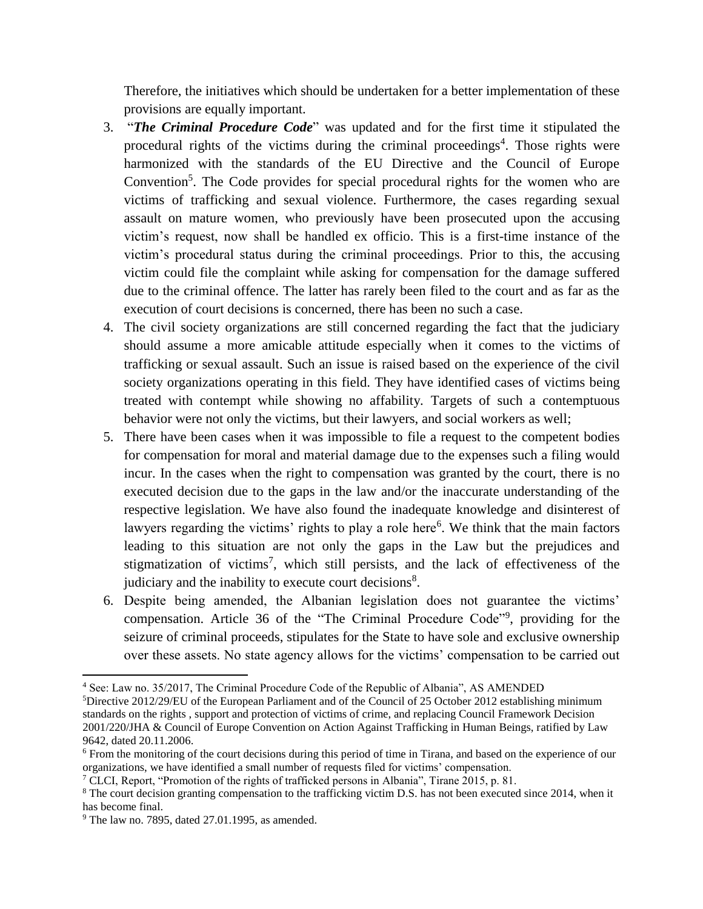Therefore, the initiatives which should be undertaken for a better implementation of these provisions are equally important.

- 3. "*The Criminal Procedure Code*" was updated and for the first time it stipulated the procedural rights of the victims during the criminal proceedings<sup>4</sup>. Those rights were harmonized with the standards of the EU Directive and the Council of Europe Convention<sup>5</sup>. The Code provides for special procedural rights for the women who are victims of trafficking and sexual violence. Furthermore, the cases regarding sexual assault on mature women, who previously have been prosecuted upon the accusing victim's request, now shall be handled ex officio. This is a first-time instance of the victim's procedural status during the criminal proceedings. Prior to this, the accusing victim could file the complaint while asking for compensation for the damage suffered due to the criminal offence. The latter has rarely been filed to the court and as far as the execution of court decisions is concerned, there has been no such a case.
- 4. The civil society organizations are still concerned regarding the fact that the judiciary should assume a more amicable attitude especially when it comes to the victims of trafficking or sexual assault. Such an issue is raised based on the experience of the civil society organizations operating in this field. They have identified cases of victims being treated with contempt while showing no affability. Targets of such a contemptuous behavior were not only the victims, but their lawyers, and social workers as well;
- 5. There have been cases when it was impossible to file a request to the competent bodies for compensation for moral and material damage due to the expenses such a filing would incur. In the cases when the right to compensation was granted by the court, there is no executed decision due to the gaps in the law and/or the inaccurate understanding of the respective legislation. We have also found the inadequate knowledge and disinterest of lawyers regarding the victims' rights to play a role here<sup>6</sup>. We think that the main factors leading to this situation are not only the gaps in the Law but the prejudices and stigmatization of victims<sup>7</sup>, which still persists, and the lack of effectiveness of the judiciary and the inability to execute court decisions $8$ .
- 6. Despite being amended, the Albanian legislation does not guarantee the victims' compensation. Article 36 of the "The Criminal Procedure Code"<sup>9</sup>, providing for the seizure of criminal proceeds, stipulates for the State to have sole and exclusive ownership over these assets. No state agency allows for the victims' compensation to be carried out

l

<sup>4</sup> See: Law no. 35/2017, The Criminal Procedure Code of the Republic of Albania", AS AMENDED

<sup>5</sup>Directive 2012/29/EU of the European Parliament and of the Council of 25 October 2012 establishing minimum standards on the rights , support and protection of victims of crime, and replacing Council Framework Decision 2001/220/JHA & Council of Europe Convention on Action Against Trafficking in Human Beings, ratified by Law 9642, dated 20.11.2006.

<sup>6</sup> From the monitoring of the court decisions during this period of time in Tirana, and based on the experience of our organizations, we have identified a small number of requests filed for victims' compensation.

<sup>7</sup> CLCI, Report, "Promotion of the rights of trafficked persons in Albania", Tirane 2015, p. 81.

<sup>8</sup> The court decision granting compensation to the trafficking victim D.S. has not been executed since 2014, when it has become final.

<sup>9</sup> The law no. 7895, dated 27.01.1995, as amended.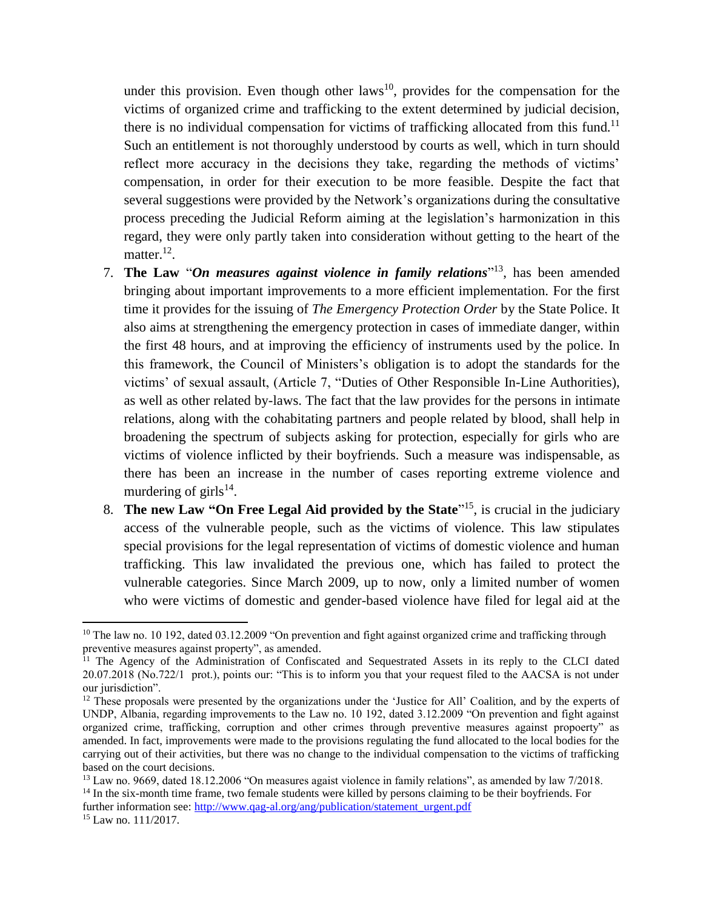under this provision. Even though other  $laws^{10}$ , provides for the compensation for the victims of organized crime and trafficking to the extent determined by judicial decision, there is no individual compensation for victims of trafficking allocated from this fund.<sup>11</sup> Such an entitlement is not thoroughly understood by courts as well, which in turn should reflect more accuracy in the decisions they take, regarding the methods of victims' compensation, in order for their execution to be more feasible. Despite the fact that several suggestions were provided by the Network's organizations during the consultative process preceding the Judicial Reform aiming at the legislation's harmonization in this regard, they were only partly taken into consideration without getting to the heart of the matter. $^{12}$ .

- 7. **The Law** "*On measures against violence in family relations*" 13 , has been amended bringing about important improvements to a more efficient implementation. For the first time it provides for the issuing of *The Emergency Protection Order* by the State Police. It also aims at strengthening the emergency protection in cases of immediate danger, within the first 48 hours, and at improving the efficiency of instruments used by the police. In this framework, the Council of Ministers's obligation is to adopt the standards for the victims' of sexual assault, (Article 7, "Duties of Other Responsible In-Line Authorities), as well as other related by-laws. The fact that the law provides for the persons in intimate relations, along with the cohabitating partners and people related by blood, shall help in broadening the spectrum of subjects asking for protection, especially for girls who are victims of violence inflicted by their boyfriends. Such a measure was indispensable, as there has been an increase in the number of cases reporting extreme violence and murdering of girls $^{14}$ .
- 8. **The new Law "On Free Legal Aid provided by the State**" 15 , is crucial in the judiciary access of the vulnerable people, such as the victims of violence. This law stipulates special provisions for the legal representation of victims of domestic violence and human trafficking. This law invalidated the previous one, which has failed to protect the vulnerable categories. Since March 2009, up to now, only a limited number of women who were victims of domestic and gender-based violence have filed for legal aid at the

further information see: [http://www.qag-al.org/ang/publication/statement\\_urgent.pdf](http://www.qag-al.org/ang/publication/statement_urgent.pdf)

<sup>&</sup>lt;sup>10</sup> The law no. 10 192, dated 03.12.2009 "On prevention and fight against organized crime and trafficking through preventive measures against property", as amended.

<sup>&</sup>lt;sup>11</sup> The Agency of the Administration of Confiscated and Sequestrated Assets in its reply to the CLCI dated 20.07.2018 (No.722/1 prot.), points our: "This is to inform you that your request filed to the AACSA is not under our jurisdiction".

<sup>&</sup>lt;sup>12</sup> These proposals were presented by the organizations under the 'Justice for All' Coalition, and by the experts of UNDP, Albania, regarding improvements to the Law no. 10 192, dated 3.12.2009 "On prevention and fight against organized crime, trafficking, corruption and other crimes through preventive measures against propoerty" as amended. In fact, improvements were made to the provisions regulating the fund allocated to the local bodies for the carrying out of their activities, but there was no change to the individual compensation to the victims of trafficking based on the court decisions.

<sup>&</sup>lt;sup>13</sup> Law no. 9669, dated 18.12.2006 "On measures agaist violence in family relations", as amended by law 7/2018. <sup>14</sup> In the six-month time frame, two female students were killed by persons claiming to be their boyfriends. For

<sup>15</sup> Law no. 111/2017.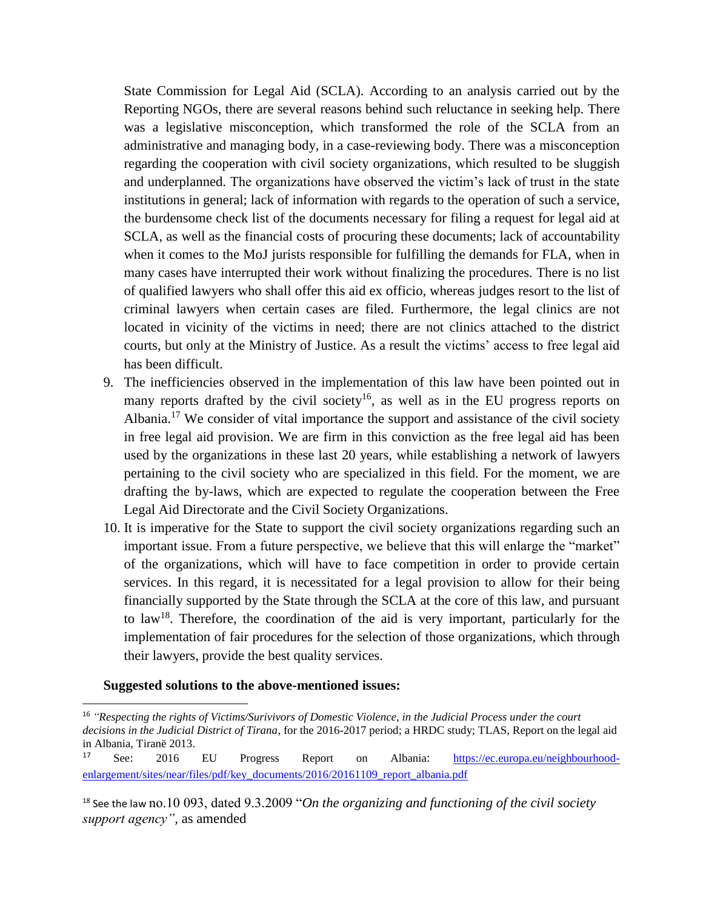State Commission for Legal Aid (SCLA). According to an analysis carried out by the Reporting NGOs, there are several reasons behind such reluctance in seeking help. There was a legislative misconception, which transformed the role of the SCLA from an administrative and managing body, in a case-reviewing body. There was a misconception regarding the cooperation with civil society organizations, which resulted to be sluggish and underplanned. The organizations have observed the victim's lack of trust in the state institutions in general; lack of information with regards to the operation of such a service, the burdensome check list of the documents necessary for filing a request for legal aid at SCLA, as well as the financial costs of procuring these documents; lack of accountability when it comes to the MoJ jurists responsible for fulfilling the demands for FLA, when in many cases have interrupted their work without finalizing the procedures. There is no list of qualified lawyers who shall offer this aid ex officio, whereas judges resort to the list of criminal lawyers when certain cases are filed. Furthermore, the legal clinics are not located in vicinity of the victims in need; there are not clinics attached to the district courts, but only at the Ministry of Justice. As a result the victims' access to free legal aid has been difficult.

- 9. The inefficiencies observed in the implementation of this law have been pointed out in many reports drafted by the civil society<sup>16</sup>, as well as in the EU progress reports on Albania.<sup>17</sup> We consider of vital importance the support and assistance of the civil society in free legal aid provision. We are firm in this conviction as the free legal aid has been used by the organizations in these last 20 years, while establishing a network of lawyers pertaining to the civil society who are specialized in this field. For the moment, we are drafting the by-laws, which are expected to regulate the cooperation between the Free Legal Aid Directorate and the Civil Society Organizations.
- 10. It is imperative for the State to support the civil society organizations regarding such an important issue. From a future perspective, we believe that this will enlarge the "market" of the organizations, which will have to face competition in order to provide certain services. In this regard, it is necessitated for a legal provision to allow for their being financially supported by the State through the SCLA at the core of this law, and pursuant to law<sup>18</sup>. Therefore, the coordination of the aid is very important, particularly for the implementation of fair procedures for the selection of those organizations, which through their lawyers, provide the best quality services.

#### **Suggested solutions to the above-mentioned issues:**

<sup>16</sup> *"Respecting the rights of Victims/Surivivors of Domestic Violence, in the Judicial Process under the court decisions in the Judicial District of Tirana*, for the 2016-2017 period; a HRDC study; TLAS, Report on the legal aid in Albania, Tiranë 2013.

<sup>17</sup> See: 2016 EU Progress Report on Albania: [https://ec.europa.eu/neighbourhood](https://ec.europa.eu/neighbourhood-enlargement/sites/near/files/pdf/key_documents/2016/20161109_report_albania.pdf)[enlargement/sites/near/files/pdf/key\\_documents/2016/20161109\\_report\\_albania.pdf](https://ec.europa.eu/neighbourhood-enlargement/sites/near/files/pdf/key_documents/2016/20161109_report_albania.pdf)

<sup>18</sup> See the law no.10 093, dated 9.3.2009 "*On the organizing and functioning of the civil society support agency"*, as amended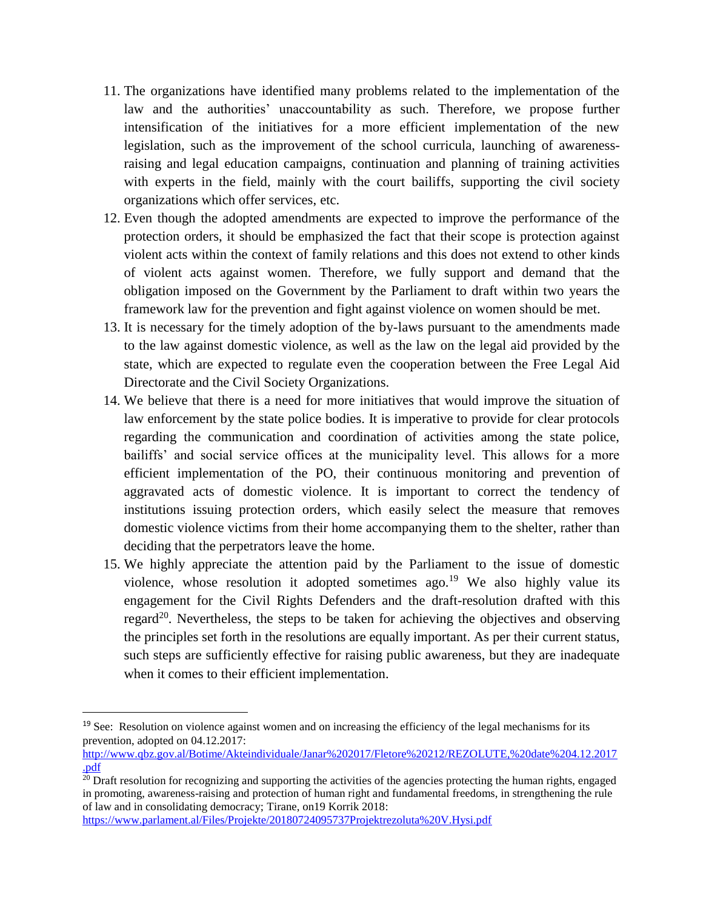- 11. The organizations have identified many problems related to the implementation of the law and the authorities' unaccountability as such. Therefore, we propose further intensification of the initiatives for a more efficient implementation of the new legislation, such as the improvement of the school curricula, launching of awarenessraising and legal education campaigns, continuation and planning of training activities with experts in the field, mainly with the court bailiffs, supporting the civil society organizations which offer services, etc.
- 12. Even though the adopted amendments are expected to improve the performance of the protection orders, it should be emphasized the fact that their scope is protection against violent acts within the context of family relations and this does not extend to other kinds of violent acts against women. Therefore, we fully support and demand that the obligation imposed on the Government by the Parliament to draft within two years the framework law for the prevention and fight against violence on women should be met.
- 13. It is necessary for the timely adoption of the by-laws pursuant to the amendments made to the law against domestic violence, as well as the law on the legal aid provided by the state, which are expected to regulate even the cooperation between the Free Legal Aid Directorate and the Civil Society Organizations.
- 14. We believe that there is a need for more initiatives that would improve the situation of law enforcement by the state police bodies. It is imperative to provide for clear protocols regarding the communication and coordination of activities among the state police, bailiffs' and social service offices at the municipality level. This allows for a more efficient implementation of the PO, their continuous monitoring and prevention of aggravated acts of domestic violence. It is important to correct the tendency of institutions issuing protection orders, which easily select the measure that removes domestic violence victims from their home accompanying them to the shelter, rather than deciding that the perpetrators leave the home.
- 15. We highly appreciate the attention paid by the Parliament to the issue of domestic violence, whose resolution it adopted sometimes ago.<sup>19</sup> We also highly value its engagement for the Civil Rights Defenders and the draft-resolution drafted with this regard<sup>20</sup>. Nevertheless, the steps to be taken for achieving the objectives and observing the principles set forth in the resolutions are equally important. As per their current status, such steps are sufficiently effective for raising public awareness, but they are inadequate when it comes to their efficient implementation.

<https://www.parlament.al/Files/Projekte/20180724095737Projektrezoluta%20V.Hysi.pdf>

 $\overline{a}$ 

<sup>&</sup>lt;sup>19</sup> See: Resolution on violence against women and on increasing the efficiency of the legal mechanisms for its prevention, adopted on 04.12.2017:

[http://www.qbz.gov.al/Botime/Akteindividuale/Janar%202017/Fletore%20212/REZOLUTE,%20date%204.12.2017](http://www.qbz.gov.al/Botime/Akteindividuale/Janar%202017/Fletore%20212/REZOLUTE,%20date%204.12.2017.pdf) [.pdf](http://www.qbz.gov.al/Botime/Akteindividuale/Janar%202017/Fletore%20212/REZOLUTE,%20date%204.12.2017.pdf)

<sup>&</sup>lt;sup>20</sup> Draft resolution for recognizing and supporting the activities of the agencies protecting the human rights, engaged in promoting, awareness-raising and protection of human right and fundamental freedoms, in strengthening the rule of law and in consolidating democracy; Tirane, on19 Korrik 2018: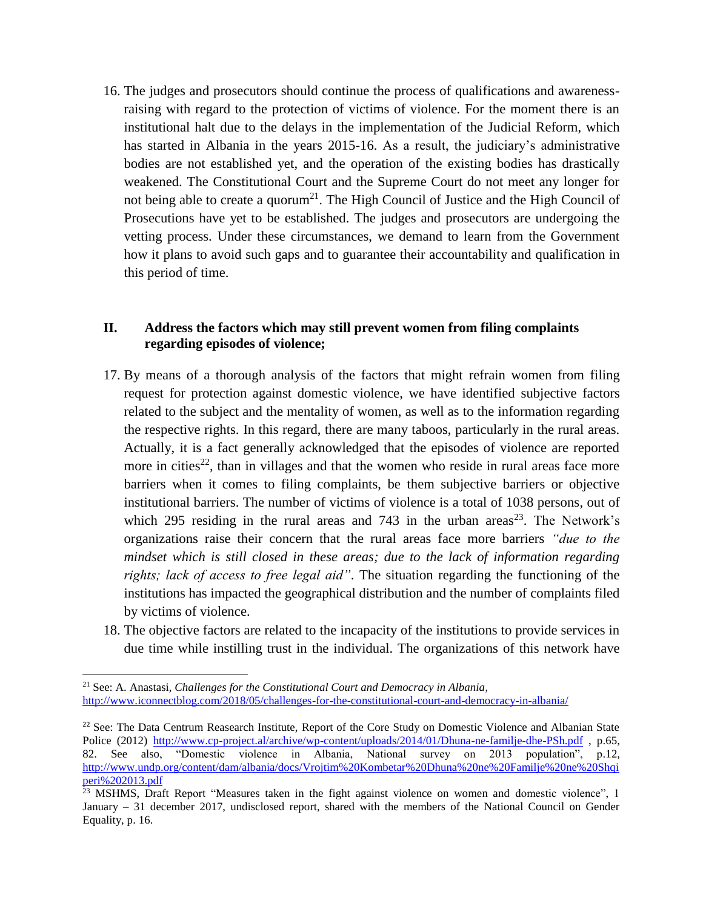16. The judges and prosecutors should continue the process of qualifications and awarenessraising with regard to the protection of victims of violence. For the moment there is an institutional halt due to the delays in the implementation of the Judicial Reform, which has started in Albania in the years 2015-16. As a result, the judiciary's administrative bodies are not established yet, and the operation of the existing bodies has drastically weakened. The Constitutional Court and the Supreme Court do not meet any longer for not being able to create a quorum<sup>21</sup>. The High Council of Justice and the High Council of Prosecutions have yet to be established. The judges and prosecutors are undergoing the vetting process. Under these circumstances, we demand to learn from the Government how it plans to avoid such gaps and to guarantee their accountability and qualification in this period of time.

## **II. Address the factors which may still prevent women from filing complaints regarding episodes of violence;**

- 17. By means of a thorough analysis of the factors that might refrain women from filing request for protection against domestic violence, we have identified subjective factors related to the subject and the mentality of women, as well as to the information regarding the respective rights. In this regard, there are many taboos, particularly in the rural areas. Actually, it is a fact generally acknowledged that the episodes of violence are reported more in cities<sup>22</sup>, than in villages and that the women who reside in rural areas face more barriers when it comes to filing complaints, be them subjective barriers or objective institutional barriers. The number of victims of violence is a total of 1038 persons, out of which 295 residing in the rural areas and 743 in the urban areas<sup>23</sup>. The Network's organizations raise their concern that the rural areas face more barriers *"due to the mindset which is still closed in these areas; due to the lack of information regarding rights; lack of access to free legal aid"*. The situation regarding the functioning of the institutions has impacted the geographical distribution and the number of complaints filed by victims of violence.
- 18. The objective factors are related to the incapacity of the institutions to provide services in due time while instilling trust in the individual. The organizations of this network have

l

<sup>21</sup> See: A. Anastasi, *Challenges for the Constitutional Court and Democracy in Albania*, <http://www.iconnectblog.com/2018/05/challenges-for-the-constitutional-court-and-democracy-in-albania/>

<sup>&</sup>lt;sup>22</sup> See: The Data Centrum Reasearch Institute, Report of the Core Study on Domestic Violence and Albanian State Police (2012)<http://www.cp-project.al/archive/wp-content/uploads/2014/01/Dhuna-ne-familje-dhe-PSh.pdf> , p.65, 82. See also, "Domestic violence in Albania, National survey on 2013 population", p.12, [http://www.undp.org/content/dam/albania/docs/Vrojtim%20Kombetar%20Dhuna%20ne%20Familje%20ne%20Shqi](http://www.undp.org/content/dam/albania/docs/Vrojtim%20Kombetar%20Dhuna%20ne%20Familje%20ne%20Shqiperi%202013.pdf) [peri%202013.pdf](http://www.undp.org/content/dam/albania/docs/Vrojtim%20Kombetar%20Dhuna%20ne%20Familje%20ne%20Shqiperi%202013.pdf)

<sup>&</sup>lt;sup>23</sup> MSHMS, Draft Report "Measures taken in the fight against violence on women and domestic violence", 1 January – 31 december 2017, undisclosed report, shared with the members of the National Council on Gender Equality, p. 16.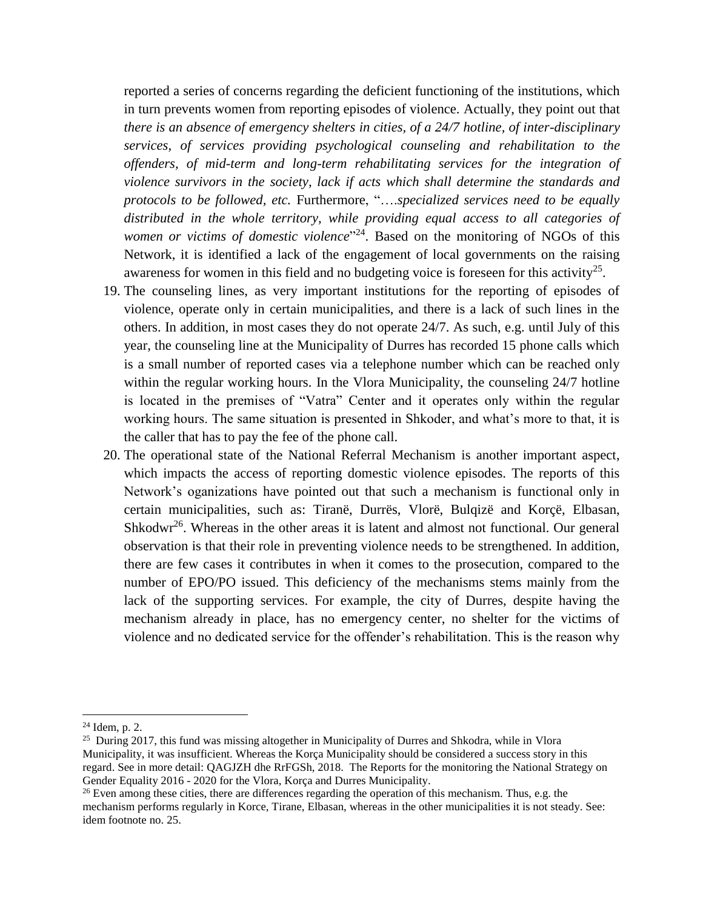reported a series of concerns regarding the deficient functioning of the institutions, which in turn prevents women from reporting episodes of violence. Actually, they point out that *there is an absence of emergency shelters in cities, of a 24/7 hotline, of inter-disciplinary services, of services providing psychological counseling and rehabilitation to the offenders, of mid-term and long-term rehabilitating services for the integration of violence survivors in the society, lack if acts which shall determine the standards and protocols to be followed, etc.* Furthermore, "….*specialized services need to be equally distributed in the whole territory, while providing equal access to all categories of*  women or victims of domestic violence<sup>"24</sup>. Based on the monitoring of NGOs of this Network, it is identified a lack of the engagement of local governments on the raising awareness for women in this field and no budgeting voice is foreseen for this activity<sup>25</sup>.

- 19. The counseling lines, as very important institutions for the reporting of episodes of violence, operate only in certain municipalities, and there is a lack of such lines in the others. In addition, in most cases they do not operate 24/7. As such, e.g. until July of this year, the counseling line at the Municipality of Durres has recorded 15 phone calls which is a small number of reported cases via a telephone number which can be reached only within the regular working hours. In the Vlora Municipality, the counseling 24/7 hotline is located in the premises of "Vatra" Center and it operates only within the regular working hours. The same situation is presented in Shkoder, and what's more to that, it is the caller that has to pay the fee of the phone call.
- 20. The operational state of the National Referral Mechanism is another important aspect, which impacts the access of reporting domestic violence episodes. The reports of this Network's oganizations have pointed out that such a mechanism is functional only in certain municipalities, such as: Tiranë, Durrës, Vlorë, Bulqizë and Korçë, Elbasan, Shkodwr<sup>26</sup>. Whereas in the other areas it is latent and almost not functional. Our general observation is that their role in preventing violence needs to be strengthened. In addition, there are few cases it contributes in when it comes to the prosecution, compared to the number of EPO/PO issued. This deficiency of the mechanisms stems mainly from the lack of the supporting services. For example, the city of Durres, despite having the mechanism already in place, has no emergency center, no shelter for the victims of violence and no dedicated service for the offender's rehabilitation. This is the reason why

 $\overline{a}$ 

<sup>24</sup> Idem, p. 2.

<sup>&</sup>lt;sup>25</sup> During 2017, this fund was missing altogether in Municipality of Durres and Shkodra, while in Vlora Municipality, it was insufficient. Whereas the Korça Municipality should be considered a success story in this regard. See in more detail: QAGJZH dhe RrFGSh, 2018. The Reports for the monitoring the National Strategy on Gender Equality 2016 - 2020 for the Vlora, Korça and Durres Municipality.

<sup>&</sup>lt;sup>26</sup> Even among these cities, there are differences regarding the operation of this mechanism. Thus, e.g. the mechanism performs regularly in Korce, Tirane, Elbasan, whereas in the other municipalities it is not steady. See: idem footnote no. 25.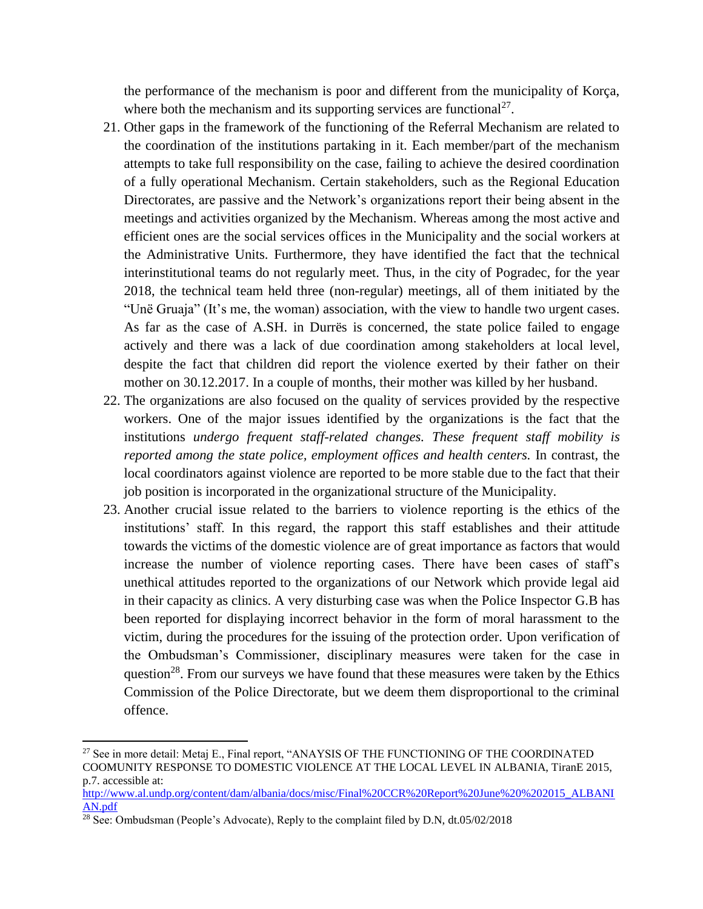the performance of the mechanism is poor and different from the municipality of Korça, where both the mechanism and its supporting services are functional<sup>27</sup>.

- 21. Other gaps in the framework of the functioning of the Referral Mechanism are related to the coordination of the institutions partaking in it. Each member/part of the mechanism attempts to take full responsibility on the case, failing to achieve the desired coordination of a fully operational Mechanism. Certain stakeholders, such as the Regional Education Directorates, are passive and the Network's organizations report their being absent in the meetings and activities organized by the Mechanism. Whereas among the most active and efficient ones are the social services offices in the Municipality and the social workers at the Administrative Units. Furthermore, they have identified the fact that the technical interinstitutional teams do not regularly meet. Thus, in the city of Pogradec, for the year 2018, the technical team held three (non-regular) meetings, all of them initiated by the "Unë Gruaja" (It's me, the woman) association, with the view to handle two urgent cases. As far as the case of A.SH. in Durrës is concerned, the state police failed to engage actively and there was a lack of due coordination among stakeholders at local level, despite the fact that children did report the violence exerted by their father on their mother on 30.12.2017. In a couple of months, their mother was killed by her husband.
- 22. The organizations are also focused on the quality of services provided by the respective workers. One of the major issues identified by the organizations is the fact that the institutions *undergo frequent staff-related changes. These frequent staff mobility is reported among the state police, employment offices and health centers.* In contrast, the local coordinators against violence are reported to be more stable due to the fact that their job position is incorporated in the organizational structure of the Municipality.
- 23. Another crucial issue related to the barriers to violence reporting is the ethics of the institutions' staff. In this regard, the rapport this staff establishes and their attitude towards the victims of the domestic violence are of great importance as factors that would increase the number of violence reporting cases. There have been cases of staff's unethical attitudes reported to the organizations of our Network which provide legal aid in their capacity as clinics. A very disturbing case was when the Police Inspector G.B has been reported for displaying incorrect behavior in the form of moral harassment to the victim, during the procedures for the issuing of the protection order. Upon verification of the Ombudsman's Commissioner, disciplinary measures were taken for the case in question<sup>28</sup>. From our surveys we have found that these measures were taken by the Ethics Commission of the Police Directorate, but we deem them disproportional to the criminal offence.

<sup>&</sup>lt;sup>27</sup> See in more detail: Metaj E., Final report, "ANAYSIS OF THE FUNCTIONING OF THE COORDINATED COOMUNITY RESPONSE TO DOMESTIC VIOLENCE AT THE LOCAL LEVEL IN ALBANIA, TiranE 2015, p.7. accessible at:

[http://www.al.undp.org/content/dam/albania/docs/misc/Final%20CCR%20Report%20June%20%202015\\_ALBANI](http://www.al.undp.org/content/dam/albania/docs/misc/Final%20CCR%20Report%20June%20%202015_ALBANIAN.pdf) [AN.pdf](http://www.al.undp.org/content/dam/albania/docs/misc/Final%20CCR%20Report%20June%20%202015_ALBANIAN.pdf)

 $28$  See: Ombudsman (People's Advocate), Reply to the complaint filed by D.N, dt.05/02/2018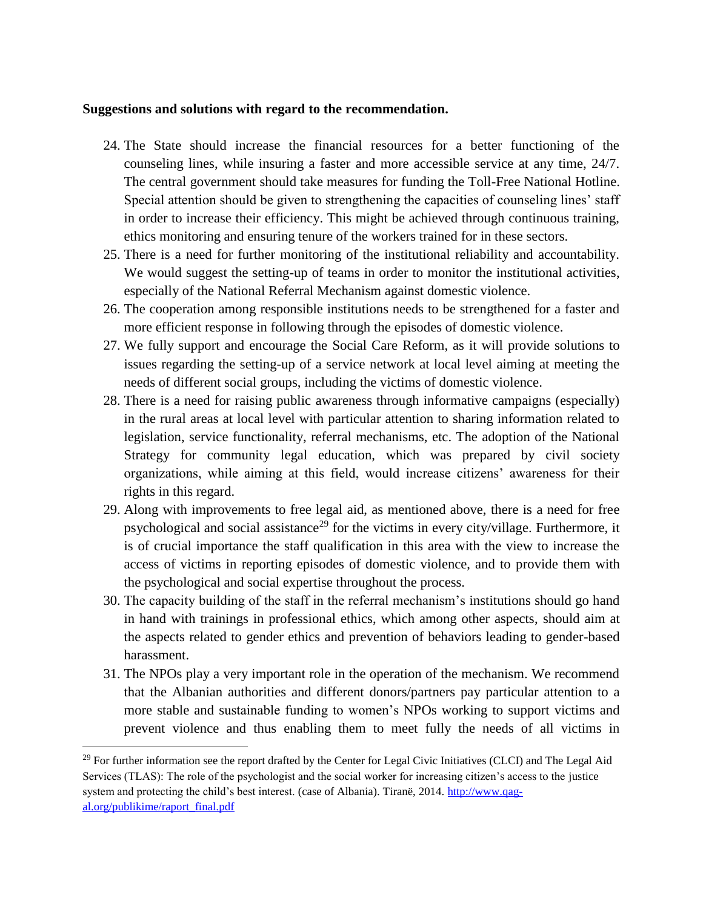### **Suggestions and solutions with regard to the recommendation.**

- 24. The State should increase the financial resources for a better functioning of the counseling lines, while insuring a faster and more accessible service at any time, 24/7. The central government should take measures for funding the Toll-Free National Hotline. Special attention should be given to strengthening the capacities of counseling lines' staff in order to increase their efficiency. This might be achieved through continuous training, ethics monitoring and ensuring tenure of the workers trained for in these sectors.
- 25. There is a need for further monitoring of the institutional reliability and accountability. We would suggest the setting-up of teams in order to monitor the institutional activities, especially of the National Referral Mechanism against domestic violence.
- 26. The cooperation among responsible institutions needs to be strengthened for a faster and more efficient response in following through the episodes of domestic violence.
- 27. We fully support and encourage the Social Care Reform, as it will provide solutions to issues regarding the setting-up of a service network at local level aiming at meeting the needs of different social groups, including the victims of domestic violence.
- 28. There is a need for raising public awareness through informative campaigns (especially) in the rural areas at local level with particular attention to sharing information related to legislation, service functionality, referral mechanisms, etc. The adoption of the National Strategy for community legal education, which was prepared by civil society organizations, while aiming at this field, would increase citizens' awareness for their rights in this regard.
- 29. Along with improvements to free legal aid, as mentioned above, there is a need for free psychological and social assistance<sup>29</sup> for the victims in every city/village. Furthermore, it is of crucial importance the staff qualification in this area with the view to increase the access of victims in reporting episodes of domestic violence, and to provide them with the psychological and social expertise throughout the process.
- 30. The capacity building of the staff in the referral mechanism's institutions should go hand in hand with trainings in professional ethics, which among other aspects, should aim at the aspects related to gender ethics and prevention of behaviors leading to gender-based harassment.
- 31. The NPOs play a very important role in the operation of the mechanism. We recommend that the Albanian authorities and different donors/partners pay particular attention to a more stable and sustainable funding to women's NPOs working to support victims and prevent violence and thus enabling them to meet fully the needs of all victims in

<sup>&</sup>lt;sup>29</sup> For further information see the report drafted by the Center for Legal Civic Initiatives (CLCI) and The Legal Aid Services (TLAS): The role of the psychologist and the social worker for increasing citizen's access to the justice system and protecting the child's best interest. (case of Albania). Tiranë, 2014[. http://www.qag](http://www.qag-al.org/publikime/raport_final.pdf)[al.org/publikime/raport\\_final.pdf](http://www.qag-al.org/publikime/raport_final.pdf)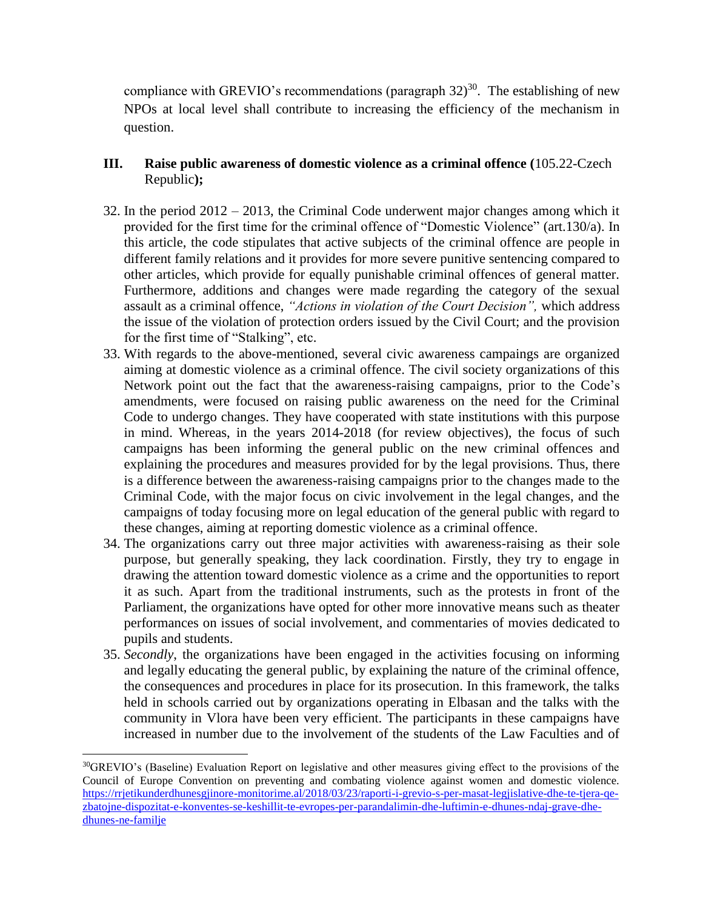compliance with GREVIO's recommendations (paragraph  $32$ )<sup>30</sup>. The establishing of new NPOs at local level shall contribute to increasing the efficiency of the mechanism in question.

- **III. Raise public awareness of domestic violence as a criminal offence (**105.22-Czech Republic**);**
- 32. In the period 2012 2013, the Criminal Code underwent major changes among which it provided for the first time for the criminal offence of "Domestic Violence" (art.130/a). In this article, the code stipulates that active subjects of the criminal offence are people in different family relations and it provides for more severe punitive sentencing compared to other articles, which provide for equally punishable criminal offences of general matter. Furthermore, additions and changes were made regarding the category of the sexual assault as a criminal offence, *"Actions in violation of the Court Decision",* which address the issue of the violation of protection orders issued by the Civil Court; and the provision for the first time of "Stalking", etc.
- 33. With regards to the above-mentioned, several civic awareness campaings are organized aiming at domestic violence as a criminal offence. The civil society organizations of this Network point out the fact that the awareness-raising campaigns, prior to the Code's amendments, were focused on raising public awareness on the need for the Criminal Code to undergo changes. They have cooperated with state institutions with this purpose in mind. Whereas, in the years 2014-2018 (for review objectives), the focus of such campaigns has been informing the general public on the new criminal offences and explaining the procedures and measures provided for by the legal provisions. Thus, there is a difference between the awareness-raising campaigns prior to the changes made to the Criminal Code, with the major focus on civic involvement in the legal changes, and the campaigns of today focusing more on legal education of the general public with regard to these changes, aiming at reporting domestic violence as a criminal offence.
- 34. The organizations carry out three major activities with awareness-raising as their sole purpose, but generally speaking, they lack coordination. Firstly, they try to engage in drawing the attention toward domestic violence as a crime and the opportunities to report it as such. Apart from the traditional instruments, such as the protests in front of the Parliament, the organizations have opted for other more innovative means such as theater performances on issues of social involvement, and commentaries of movies dedicated to pupils and students.
- 35. *Secondly*, the organizations have been engaged in the activities focusing on informing and legally educating the general public, by explaining the nature of the criminal offence, the consequences and procedures in place for its prosecution. In this framework, the talks held in schools carried out by organizations operating in Elbasan and the talks with the community in Vlora have been very efficient. The participants in these campaigns have increased in number due to the involvement of the students of the Law Faculties and of

l

<sup>30</sup>GREVIO's (Baseline) Evaluation Report on legislative and other measures giving effect to the provisions of the Council of Europe Convention on preventing and combating violence against women and domestic violence. [https://rrjetikunderdhunesgjinore-monitorime.al/2018/03/23/raporti-i-grevio-s-per-masat-legjislative-dhe-te-tjera-qe](https://rrjetikunderdhunesgjinore-monitorime.al/2018/03/23/raporti-i-grevio-s-per-masat-legjislative-dhe-te-tjera-qe-zbatojne-dispozitat-e-konventes-se-keshillit-te-evropes-per-parandalimin-dhe-luftimin-e-dhunes-ndaj-grave-dhe-dhunes-ne-familje)[zbatojne-dispozitat-e-konventes-se-keshillit-te-evropes-per-parandalimin-dhe-luftimin-e-dhunes-ndaj-grave-dhe](https://rrjetikunderdhunesgjinore-monitorime.al/2018/03/23/raporti-i-grevio-s-per-masat-legjislative-dhe-te-tjera-qe-zbatojne-dispozitat-e-konventes-se-keshillit-te-evropes-per-parandalimin-dhe-luftimin-e-dhunes-ndaj-grave-dhe-dhunes-ne-familje)[dhunes-ne-familje](https://rrjetikunderdhunesgjinore-monitorime.al/2018/03/23/raporti-i-grevio-s-per-masat-legjislative-dhe-te-tjera-qe-zbatojne-dispozitat-e-konventes-se-keshillit-te-evropes-per-parandalimin-dhe-luftimin-e-dhunes-ndaj-grave-dhe-dhunes-ne-familje)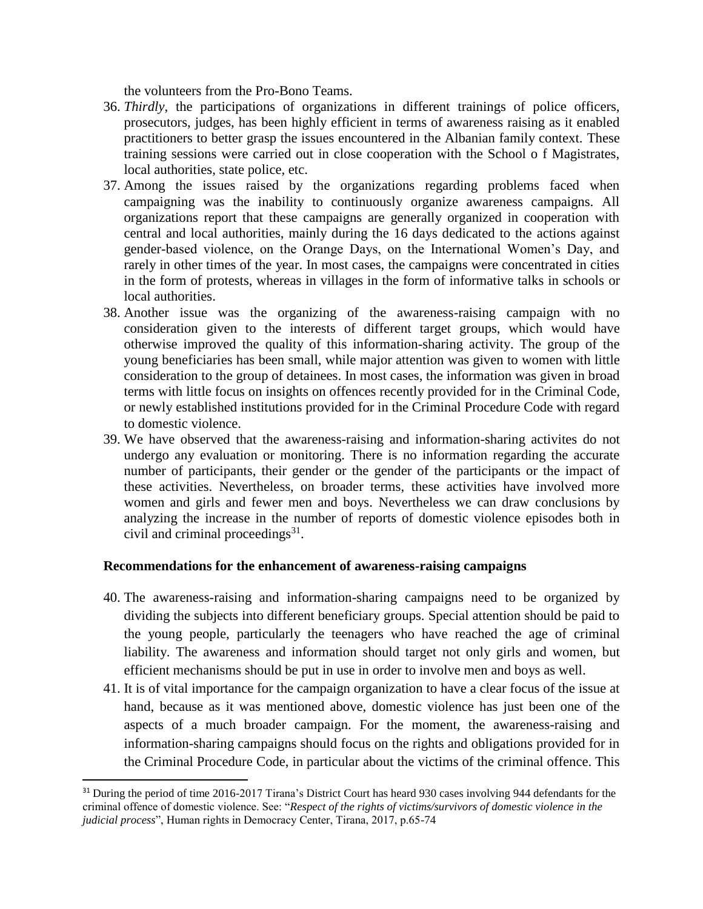the volunteers from the Pro-Bono Teams.

- 36. *Thirdly*, the participations of organizations in different trainings of police officers, prosecutors, judges, has been highly efficient in terms of awareness raising as it enabled practitioners to better grasp the issues encountered in the Albanian family context. These training sessions were carried out in close cooperation with the School o f Magistrates, local authorities, state police, etc.
- 37. Among the issues raised by the organizations regarding problems faced when campaigning was the inability to continuously organize awareness campaigns. All organizations report that these campaigns are generally organized in cooperation with central and local authorities, mainly during the 16 days dedicated to the actions against gender-based violence, on the Orange Days, on the International Women's Day, and rarely in other times of the year. In most cases, the campaigns were concentrated in cities in the form of protests, whereas in villages in the form of informative talks in schools or local authorities.
- 38. Another issue was the organizing of the awareness-raising campaign with no consideration given to the interests of different target groups, which would have otherwise improved the quality of this information-sharing activity. The group of the young beneficiaries has been small, while major attention was given to women with little consideration to the group of detainees. In most cases, the information was given in broad terms with little focus on insights on offences recently provided for in the Criminal Code, or newly established institutions provided for in the Criminal Procedure Code with regard to domestic violence.
- 39. We have observed that the awareness-raising and information-sharing activites do not undergo any evaluation or monitoring. There is no information regarding the accurate number of participants, their gender or the gender of the participants or the impact of these activities. Nevertheless, on broader terms, these activities have involved more women and girls and fewer men and boys. Nevertheless we can draw conclusions by analyzing the increase in the number of reports of domestic violence episodes both in civil and criminal proceedings 31 .

## **Recommendations for the enhancement of awareness-raising campaigns**

- 40. The awareness-raising and information-sharing campaigns need to be organized by dividing the subjects into different beneficiary groups. Special attention should be paid to the young people, particularly the teenagers who have reached the age of criminal liability. The awareness and information should target not only girls and women, but efficient mechanisms should be put in use in order to involve men and boys as well.
- 41. It is of vital importance for the campaign organization to have a clear focus of the issue at hand, because as it was mentioned above, domestic violence has just been one of the aspects of a much broader campaign. For the moment, the awareness-raising and information-sharing campaigns should focus on the rights and obligations provided for in the Criminal Procedure Code, in particular about the victims of the criminal offence. This

<sup>&</sup>lt;sup>31</sup> During the period of time 2016-2017 Tirana's District Court has heard 930 cases involving 944 defendants for the criminal offence of domestic violence. See: "*Respect of the rights of victims/survivors of domestic violence in the judicial process*", Human rights in Democracy Center, Tirana, 2017, p.65-74